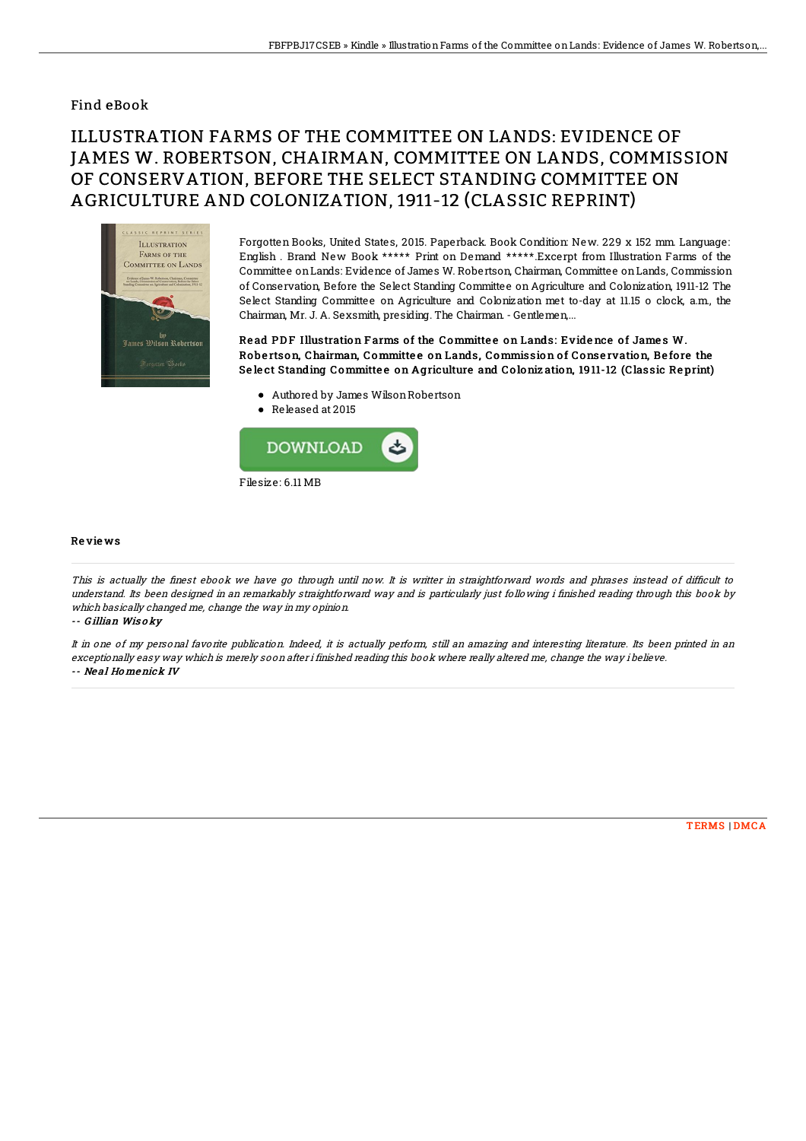## Find eBook

## ILLUSTRATION FARMS OF THE COMMITTEE ON LANDS: EVIDENCE OF JAMES W. ROBERTSON, CHAIRMAN, COMMITTEE ON LANDS, COMMISSION OF CONSERVATION, BEFORE THE SELECT STANDING COMMITTEE ON AGRICULTURE AND COLONIZATION, 1911-12 (CLASSIC REPRINT)



Forgotten Books, United States, 2015. Paperback. Book Condition: New. 229 x 152 mm. Language: English . Brand New Book \*\*\*\*\* Print on Demand \*\*\*\*\*.Excerpt from Illustration Farms of the Committee onLands: Evidence of James W. Robertson, Chairman, Committee onLands, Commission of Conservation, Before the Select Standing Committee on Agriculture and Colonization, 1911-12 The Select Standing Committee on Agriculture and Colonization met to-day at 11.15 o clock, a.m., the Chairman, Mr. J. A. Sexsmith, presiding. The Chairman. - Gentlemen,...

Read PDF Illustration Farms of the Committee on Lands: Evidence of James W. Robertson, Chairman, Committee on Lands, Commission of Conservation, Before the Select Standing Committee on Agriculture and Colonization, 1911-12 (Classic Reprint)

- Authored by James WilsonRobertson
- Released at 2015



## Re vie ws

This is actually the finest ebook we have go through until now. It is writter in straightforward words and phrases instead of difficult to understand. Its been designed in an remarkably straightforward way and is particularly just following i finished reading through this book by which basically changed me, change the way in my opinion.

-- G illian Wis <sup>o</sup> ky

It in one of my personal favorite publication. Indeed, it is actually perform, still an amazing and interesting literature. Its been printed in an exceptionally easy way which is merely soon after i finished reading this book where really altered me, change the way i believe. -- Ne al Ho menick IV